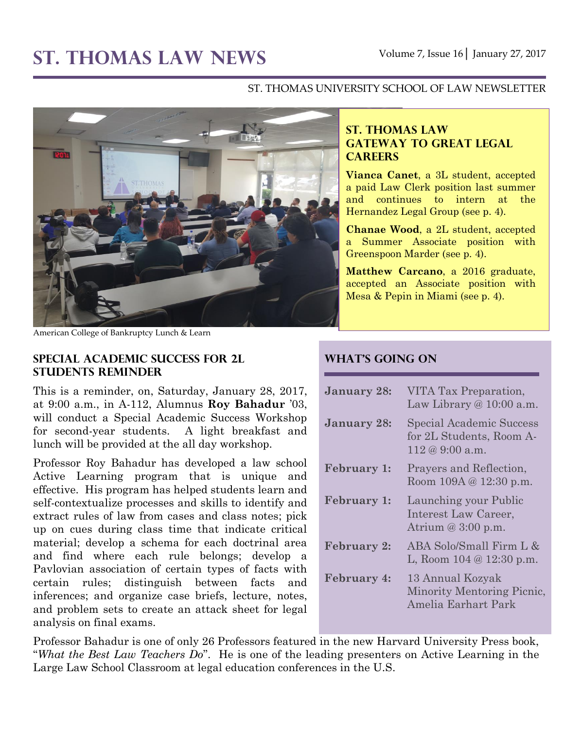#### ST. THOMAS UNIVERSITY SCHOOL OF LAW NEWSLETTER



American College of Bankruptcy Lunch & Learn

#### **Special Academic Success for 2L Students Reminder**

This is a reminder, on, Saturday, January 28, 2017, at 9:00 a.m., in A-112, Alumnus **Roy Bahadur** '03, will conduct a Special Academic Success Workshop for second-year students. A light breakfast and lunch will be provided at the all day workshop.

Professor Roy Bahadur has developed a law school Active Learning program that is unique and effective. His program has helped students learn and self-contextualize processes and skills to identify and extract rules of law from cases and class notes; pick up on cues during class time that indicate critical material; develop a schema for each doctrinal area and find where each rule belongs; develop a Pavlovian association of certain types of facts with certain rules; distinguish between facts and inferences; and organize case briefs, lecture, notes, and problem sets to create an attack sheet for legal analysis on final exams.

### **ST. THOMAS LAW GATEWAY TO GREAT LEGAL CAREERS**

**Vianca Canet**, a 3L student, accepted a paid Law Clerk position last summer and continues to intern at the Hernandez Legal Group (see p. 4).

**Chanae Wood**, a 2L student, accepted a Summer Associate position with Greenspoon Marder (see p. 4).

**Matthew Carcano**, a 2016 graduate, accepted an Associate position with Mesa & Pepin in Miami (see p. 4).

#### **What's Going On**

| <b>January 28:</b> | VITA Tax Preparation,<br>Law Library $@10:00$ a.m.                      |
|--------------------|-------------------------------------------------------------------------|
| <b>January 28:</b> | Special Academic Success<br>for 2L Students, Room A-<br>112 @ 9:00 a.m. |
| <b>February 1:</b> | Prayers and Reflection,<br>Room 109A @ 12:30 p.m.                       |
| <b>February 1:</b> | Launching your Public<br>Interest Law Career,<br>Atrium $@3:00 p.m.$    |
| <b>February 2:</b> | ABA Solo/Small Firm L &<br>L, Room $104 \& 12:30 \text{ p.m.}$          |
| <b>February 4:</b> | 13 Annual Kozyak<br>Minority Mentoring Picnic,<br>Amelia Earhart Park   |

Professor Bahadur is one of only 26 Professors featured in the new Harvard University Press book, "*What the Best Law Teachers Do*". He is one of the leading presenters on Active Learning in the Large Law School Classroom at legal education conferences in the U.S.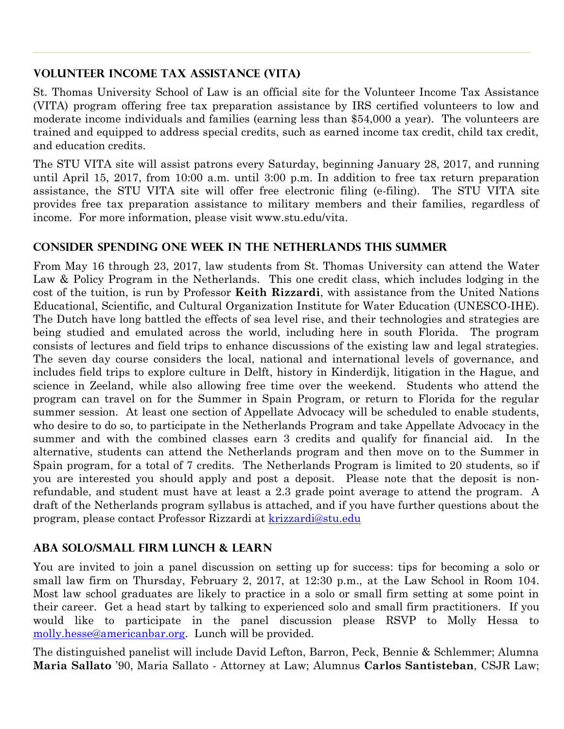## **Volunteer Income Tax Assistance (VITA)**

St. Thomas University School of Law is an official site for the Volunteer Income Tax Assistance (VITA) program offering free tax preparation assistance by IRS certified volunteers to low and moderate income individuals and families (earning less than \$54,000 a year). The volunteers are trained and equipped to address special credits, such as earned income tax credit, child tax credit, and education credits.

The STU VITA site will assist patrons every Saturday, beginning January 28, 2017, and running until April 15, 2017, from 10:00 a.m. until 3:00 p.m. In addition to free tax return preparation assistance, the STU VITA site will offer free electronic filing (e-filing). The STU VITA site provides free tax preparation assistance to military members and their families, regardless of income. For more information, please visit www.stu.edu/vita.

# **Consider Spending One Week in the Netherlands this Summer**

From May 16 through 23, 2017, law students from St. Thomas University can attend the Water Law & Policy Program in the Netherlands. This one credit class, which includes lodging in the cost of the tuition, is run by Professor **Keith Rizzardi**, with assistance from the United Nations Educational, Scientific, and Cultural Organization Institute for Water Education (UNESCO-IHE). The Dutch have long battled the effects of sea level rise, and their technologies and strategies are being studied and emulated across the world, including here in south Florida. The program consists of lectures and field trips to enhance discussions of the existing law and legal strategies. The seven day course considers the local, national and international levels of governance, and includes field trips to explore culture in Delft, history in Kinderdijk, litigation in the Hague, and science in Zeeland, while also allowing free time over the weekend. Students who attend the program can travel on for the Summer in Spain Program, or return to Florida for the regular summer session. At least one section of Appellate Advocacy will be scheduled to enable students, who desire to do so, to participate in the Netherlands Program and take Appellate Advocacy in the summer and with the combined classes earn 3 credits and qualify for financial aid. In the alternative, students can attend the Netherlands program and then move on to the Summer in Spain program, for a total of 7 credits. The Netherlands Program is limited to 20 students, so if you are interested you should apply and post a deposit. Please note that the deposit is nonrefundable, and student must have at least a 2.3 grade point average to attend the program. A draft of the Netherlands program syllabus is attached, and if you have further questions about the program, please contact Professor Rizzardi at [krizzardi@stu.edu](mailto:krizzardi@stu.edu)

# **ABA Solo/Small Firm Lunch & Learn**

You are invited to join a panel discussion on setting up for success: tips for becoming a solo or small law firm on Thursday, February 2, 2017, at 12:30 p.m., at the Law School in Room 104. Most law school graduates are likely to practice in a solo or small firm setting at some point in their career. Get a head start by talking to experienced solo and small firm practitioners. If you would like to participate in the panel discussion please RSVP to Molly Hessa to [molly.hesse@americanbar.org.](mailto:molly.hesse@americanbar.org) Lunch will be provided.

The distinguished panelist will include David Lefton, Barron, Peck, Bennie & Schlemmer; Alumna **Maria Sallato** '90, Maria Sallato - Attorney at Law; Alumnus **Carlos Santisteban**, CSJR Law;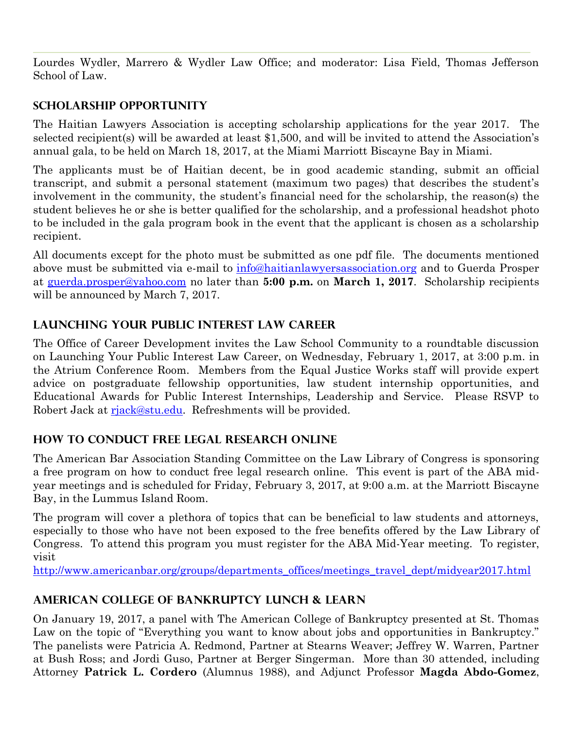Lourdes Wydler, Marrero & Wydler Law Office; and moderator: Lisa Field, Thomas Jefferson School of Law.

## **Scholarship Opportunity**

The Haitian Lawyers Association is accepting scholarship applications for the year 2017. The selected recipient(s) will be awarded at least \$1,500, and will be invited to attend the Association's annual gala, to be held on March 18, 2017, at the Miami Marriott Biscayne Bay in Miami.

The applicants must be of Haitian decent, be in good academic standing, submit an official transcript, and submit a personal statement (maximum two pages) that describes the student's involvement in the community, the student's financial need for the scholarship, the reason(s) the student believes he or she is better qualified for the scholarship, and a professional headshot photo to be included in the gala program book in the event that the applicant is chosen as a scholarship recipient.

All documents except for the photo must be submitted as one pdf file. The documents mentioned above must be submitted via e-mail to  $\frac{info@haitianlawyers association.org}{info@haitianlawyers association.org}$  and to Guerda Prosper at [guerda.prosper@yahoo.com](mailto:guerda.prosper@yahoo.com) no later than **5:00 p.m.** on **March 1, 2017**. Scholarship recipients will be announced by March 7, 2017.

# **Launching Your Public Interest Law Career**

The Office of Career Development invites the Law School Community to a roundtable discussion on Launching Your Public Interest Law Career, on Wednesday, February 1, 2017, at 3:00 p.m. in the Atrium Conference Room. Members from the Equal Justice Works staff will provide expert advice on postgraduate fellowship opportunities, law student internship opportunities, and Educational Awards for Public Interest Internships, Leadership and Service. Please RSVP to Robert Jack at [rjack@stu.edu.](mailto:rjack@stu.edu) Refreshments will be provided.

# **How to Conduct Free Legal Research Online**

The American Bar Association Standing Committee on the Law Library of Congress is sponsoring a free program on how to conduct free legal research online. This event is part of the ABA midyear meetings and is scheduled for Friday, February 3, 2017, at 9:00 a.m. at the Marriott Biscayne Bay, in the Lummus Island Room.

The program will cover a plethora of topics that can be beneficial to law students and attorneys, especially to those who have not been exposed to the free benefits offered by the Law Library of Congress. To attend this program you must register for the ABA Mid-Year meeting. To register, visit

[http://www.americanbar.org/groups/departments\\_offices/meetings\\_travel\\_dept/midyear2017.html](http://www.americanbar.org/groups/departments_offices/meetings_travel_dept/midyear2017.html)

# **American College of Bankruptcy Lunch & Learn**

On January 19, 2017, a panel with The American College of Bankruptcy presented at St. Thomas Law on the topic of "Everything you want to know about jobs and opportunities in Bankruptcy." The panelists were Patricia A. Redmond, Partner at Stearns Weaver; Jeffrey W. Warren, Partner at Bush Ross; and Jordi Guso, Partner at Berger Singerman. More than 30 attended, including Attorney **Patrick L. Cordero** (Alumnus 1988), and Adjunct Professor **Magda Abdo-Gomez**,